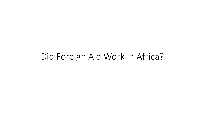#### Did Foreign Aid Work in Africa?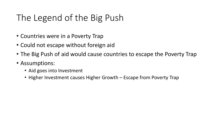# The Legend of the Big Push

- Countries were in a Poverty Trap
- Could not escape without foreign aid
- The Big Push of aid would cause countries to escape the Poverty Trap
- Assumptions:
	- Aid goes into Investment
	- Higher Investment causes Higher Growth Escape from Poverty Trap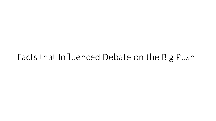### Facts that Influenced Debate on the Big Push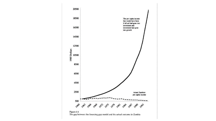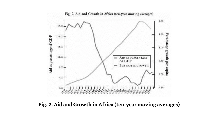

Fig. 2. Aid and Growth in Africa (ten-year moving averages)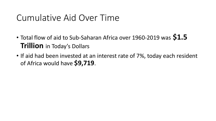## Cumulative Aid Over Time

- Total flow of aid to Sub-Saharan Africa over 1960-2019 was **\$1.5 Trillion** in Today's Dollars
- If aid had been invested at an interest rate of 7%, today each resident of Africa would have **\$9,719**.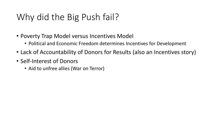# Why did the Big Push fail?

- Poverty Trap Model versus Incentives Model
	- Political and Economic Freedom determines Incentives for Development
- Lack of Accountability of Donors for Results (also an Incentives story)
- Self-Interest of Donors
	- Aid to unfree allies (War on Terror)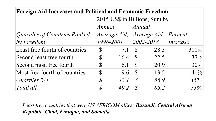| <b>Foreign Aid Increases and Political and Economic Freedom</b> |                               |      |                   |                                   |          |
|-----------------------------------------------------------------|-------------------------------|------|-------------------|-----------------------------------|----------|
|                                                                 | 2015 US\$ in Billions, Sum by |      |                   |                                   |          |
|                                                                 | Annual                        |      | $\textit{Annual}$ |                                   |          |
| Quartiles of Countries Ranked                                   |                               |      |                   | Average Aid, Average Aid, Percent |          |
| $by$ Freedom                                                    | 1996-2001                     |      | $ 2002 - 2018 $   |                                   | Increase |
| Least free fourth of countries                                  | $\mathcal{S}$                 | 7.1  | $\mathbb{S}$      | 28.3                              | $300\%$  |
| Second least free fourth                                        | $\mathbb{S}$                  | 16.4 | $\mathcal{S}$     | 22.5                              | 37%      |
| Second most free fourth                                         | $\mathbb{S}$                  | 16.1 | <sup>S</sup>      | 20.9                              | 30%      |
| Most free fourth of countries                                   | $\mathcal{S}$                 | 9.6  | $\mathcal{S}$     | 13.5                              | 41%      |
| <i>Quartiles 2-4</i>                                            | $\mathcal{S}$                 | 42.1 | $\mathcal{S}$     | 56.9                              | 35%      |
| Total all                                                       | $\mathcal{S}$                 | 49.2 | $\mathcal{S}$     | 85.2                              | 73%      |

*Least free countries that were US AFRICOM allies: Burundi, Central African Republic, Chad, Ethiopia, and Somalia*